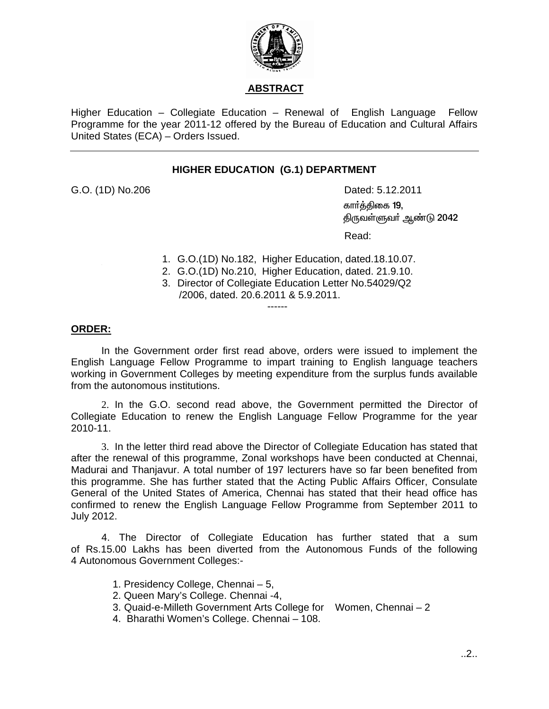

## **ABSTRACT**

Higher Education – Collegiate Education – Renewal of English Language Fellow Programme for the year 2011-12 offered by the Bureau of Education and Cultural Affairs United States (ECA) – Orders Issued.

## **HIGHER EDUCATION (G.1) DEPARTMENT**

G.O. (1D) No.206Dated: 5.12.2011

கார்த்திகை 19, திருவள்ளுவா் ஆண்டு 2042

**Property of the contract of the contract of the Read:** 

- 1. G.O. (1D) No.182, Higher Education, dated.18.10.07.
- 2. G.O.(1D) No.210, Higher Education, dated. 21.9.10.
- 3. Director of Collegiate Education Letter No.54029/Q2 /2006, dated. 20.6.2011 & 5.9.2011.

**ORDER:**

In the Government order first read above, orders were issued to implement the English Language Fellow Programme to impart training to English language teachers working in Government Colleges by meeting expenditure from the surplus funds available from the autonomous institutions.

------

2. In the G.O. second read above, the Government permitted the Director of Collegiate Education to renew the English Language Fellow Programme for the year 2010-11.

 3. In the letter third read above the Director of Collegiate Education has stated that after the renewal of this programme, Zonal workshops have been conducted at Chennai, Madurai and Thanjavur. A total number of 197 lecturers have so far been benefited from this programme. She has further stated that the Acting Public Affairs Officer, Consulate General of the United States of America, Chennai has stated that their head office has confirmed to renew the English Language Fellow Programme from September 2011 to July 2012.

4. The Director of Collegiate Education has further stated that a sum of Rs.15.00 Lakhs has been diverted from the Autonomous Funds of the following 4 Autonomous Government Colleges:-

- 1. Presidency College, Chennai 5,
- 2. Queen Mary's College. Chennai -4,
- 3. Quaid-e-Milleth Government Arts College for Women, Chennai 2
- 4. Bharathi Women's College. Chennai 108.